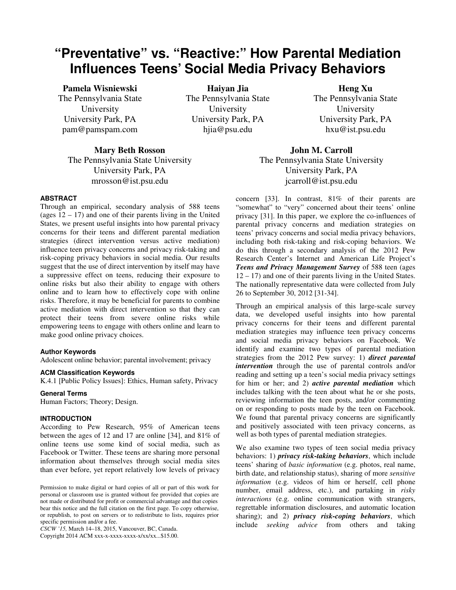# **"Preventative" vs. "Reactive:" How Parental Mediation Influences Teens' Social Media Privacy Behaviors**

**Pamela Wisniewski**  The Pennsylvania State University University Park, PA pam@pamspam.com

**Haiyan Jia**  The Pennsylvania State University University Park, PA hjia@psu.edu

**Heng Xu**  The Pennsylvania State University University Park, PA hxu@ist.psu.edu

## **Mary Beth Rosson**  The Pennsylvania State University University Park, PA

mrosson@ist.psu.edu

## **ABSTRACT**

Through an empirical, secondary analysis of 588 teens (ages  $12 - 17$ ) and one of their parents living in the United States, we present useful insights into how parental privacy concerns for their teens and different parental mediation strategies (direct intervention versus active mediation) influence teen privacy concerns and privacy risk-taking and risk-coping privacy behaviors in social media. Our results suggest that the use of direct intervention by itself may have a suppressive effect on teens, reducing their exposure to online risks but also their ability to engage with others online and to learn how to effectively cope with online risks. Therefore, it may be beneficial for parents to combine active mediation with direct intervention so that they can protect their teens from severe online risks while empowering teens to engage with others online and learn to make good online privacy choices.

## **Author Keywords**

Adolescent online behavior; parental involvement; privacy

## **ACM Classification Keywords**

K.4.1 [Public Policy Issues]: Ethics, Human safety, Privacy

## **General Terms**

Human Factors; Theory; Design.

## **INTRODUCTION**

According to Pew Research, 95% of American teens between the ages of 12 and 17 are online [34], and 81% of online teens use some kind of social media, such as Facebook or Twitter. These teens are sharing more personal information about themselves through social media sites than ever before, yet report relatively low levels of privacy

*CSCW '15,* March 14–18, 2015, Vancouver, BC, Canada.

Copyright 2014 ACM xxx-x-xxxx-xxxx-x/xx/xx...\$15.00.

**John M. Carroll**  The Pennsylvania State University University Park, PA jcarroll@ist.psu.edu

concern [33]. In contrast, 81% of their parents are "somewhat" to "very" concerned about their teens' online privacy [31]. In this paper, we explore the co-influences of parental privacy concerns and mediation strategies on teens' privacy concerns and social media privacy behaviors, including both risk-taking and risk-coping behaviors. We do this through a secondary analysis of the 2012 Pew Research Center's Internet and American Life Project's *Teens and Privacy Management Survey* of 588 teen (ages 12 – 17) and one of their parents living in the United States. The nationally representative data were collected from July 26 to September 30, 2012 [31-34].

Through an empirical analysis of this large-scale survey data, we developed useful insights into how parental privacy concerns for their teens and different parental mediation strategies may influence teen privacy concerns and social media privacy behaviors on Facebook. We identify and examine two types of parental mediation strategies from the 2012 Pew survey: 1) *direct parental intervention* through the use of parental controls and/or reading and setting up a teen's social media privacy settings for him or her; and 2) *active parental mediation* which includes talking with the teen about what he or she posts, reviewing information the teen posts, and/or commenting on or responding to posts made by the teen on Facebook. We found that parental privacy concerns are significantly and positively associated with teen privacy concerns, as well as both types of parental mediation strategies.

We also examine two types of teen social media privacy behaviors: 1) *privacy risk-taking behaviors*, which include teens' sharing of *basic information* (e.g. photos, real name, birth date, and relationship status), sharing of more *sensitive information* (e.g. videos of him or herself, cell phone number, email address, etc.), and partaking in *risky interactions* (e.g. online communication with strangers, regrettable information disclosures, and automatic location sharing); and 2) *privacy risk-coping behaviors*, which include *seeking advice* from others and taking

Permission to make digital or hard copies of all or part of this work for personal or classroom use is granted without fee provided that copies are not made or distributed for profit or commercial advantage and that copies bear this notice and the full citation on the first page. To copy otherwise, or republish, to post on servers or to redistribute to lists, requires prior specific permission and/or a fee.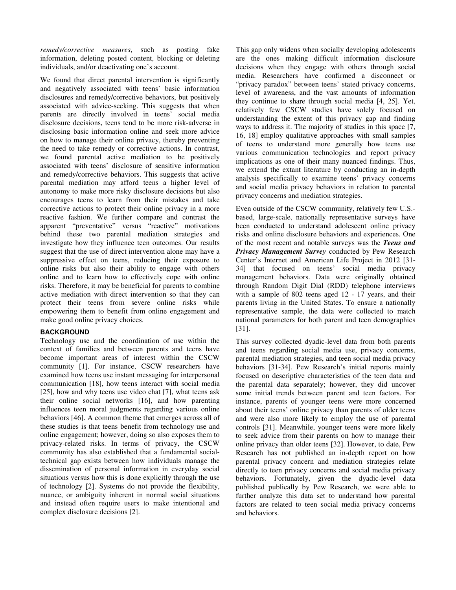*remedy/corrective measures*, such as posting fake information, deleting posted content, blocking or deleting individuals, and/or deactivating one's account.

We found that direct parental intervention is significantly and negatively associated with teens' basic information disclosures and remedy/corrective behaviors, but positively associated with advice-seeking. This suggests that when parents are directly involved in teens' social media disclosure decisions, teens tend to be more risk-adverse in disclosing basic information online and seek more advice on how to manage their online privacy, thereby preventing the need to take remedy or corrective actions. In contrast, we found parental active mediation to be positively associated with teens' disclosure of sensitive information and remedy/corrective behaviors. This suggests that active parental mediation may afford teens a higher level of autonomy to make more risky disclosure decisions but also encourages teens to learn from their mistakes and take corrective actions to protect their online privacy in a more reactive fashion. We further compare and contrast the apparent "preventative" versus "reactive" motivations behind these two parental mediation strategies and investigate how they influence teen outcomes. Our results suggest that the use of direct intervention alone may have a suppressive effect on teens, reducing their exposure to online risks but also their ability to engage with others online and to learn how to effectively cope with online risks. Therefore, it may be beneficial for parents to combine active mediation with direct intervention so that they can protect their teens from severe online risks while empowering them to benefit from online engagement and make good online privacy choices.

## **BACKGROUND**

Technology use and the coordination of use within the context of families and between parents and teens have become important areas of interest within the CSCW community [1]. For instance, CSCW researchers have examined how teens use instant messaging for interpersonal communication [18], how teens interact with social media [25], how and why teens use video chat [7], what teens ask their online social networks [16], and how parenting influences teen moral judgments regarding various online behaviors [46]. A common theme that emerges across all of these studies is that teens benefit from technology use and online engagement; however, doing so also exposes them to privacy-related risks. In terms of privacy, the CSCW community has also established that a fundamental socialtechnical gap exists between how individuals manage the dissemination of personal information in everyday social situations versus how this is done explicitly through the use of technology [2]. Systems do not provide the flexibility, nuance, or ambiguity inherent in normal social situations and instead often require users to make intentional and complex disclosure decisions [2].

This gap only widens when socially developing adolescents are the ones making difficult information disclosure decisions when they engage with others through social media. Researchers have confirmed a disconnect or "privacy paradox" between teens' stated privacy concerns, level of awareness, and the vast amounts of information they continue to share through social media [4, 25]. Yet, relatively few CSCW studies have solely focused on understanding the extent of this privacy gap and finding ways to address it. The majority of studies in this space [7, 16, 18] employ qualitative approaches with small samples of teens to understand more generally how teens use various communication technologies and report privacy implications as one of their many nuanced findings. Thus, we extend the extant literature by conducting an in-depth analysis specifically to examine teens' privacy concerns and social media privacy behaviors in relation to parental privacy concerns and mediation strategies.

Even outside of the CSCW community, relatively few U.S. based, large-scale, nationally representative surveys have been conducted to understand adolescent online privacy risks and online disclosure behaviors and experiences. One of the most recent and notable surveys was the *Teens and Privacy Management Survey* conducted by Pew Research Center's Internet and American Life Project in 2012 [31- 34] that focused on teens' social media privacy management behaviors. Data were originally obtained through Random Digit Dial (RDD) telephone interviews with a sample of 802 teens aged 12 - 17 years, and their parents living in the United States. To ensure a nationally representative sample, the data were collected to match national parameters for both parent and teen demographics [31].

This survey collected dyadic-level data from both parents and teens regarding social media use, privacy concerns, parental mediation strategies, and teen social media privacy behaviors [31-34]. Pew Research's initial reports mainly focused on descriptive characteristics of the teen data and the parental data separately; however, they did uncover some initial trends between parent and teen factors. For instance, parents of younger teens were more concerned about their teens' online privacy than parents of older teens and were also more likely to employ the use of parental controls [31]. Meanwhile, younger teens were more likely to seek advice from their parents on how to manage their online privacy than older teens [32]. However, to date, Pew Research has not published an in-depth report on how parental privacy concern and mediation strategies relate directly to teen privacy concerns and social media privacy behaviors. Fortunately, given the dyadic-level data published publically by Pew Research, we were able to further analyze this data set to understand how parental factors are related to teen social media privacy concerns and behaviors.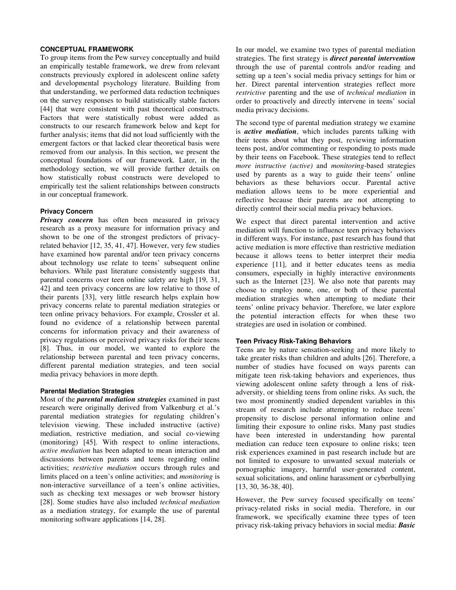## **CONCEPTUAL FRAMEWORK**

To group items from the Pew survey conceptually and build an empirically testable framework, we drew from relevant constructs previously explored in adolescent online safety and developmental psychology literature. Building from that understanding, we performed data reduction techniques on the survey responses to build statistically stable factors [44] that were consistent with past theoretical constructs. Factors that were statistically robust were added as constructs to our research framework below and kept for further analysis; items that did not load sufficiently with the emergent factors or that lacked clear theoretical basis were removed from our analysis. In this section, we present the conceptual foundations of our framework. Later, in the methodology section, we will provide further details on how statistically robust constructs were developed to empirically test the salient relationships between constructs in our conceptual framework.

#### **Privacy Concern**

*Privacy concern* has often been measured in privacy research as a proxy measure for information privacy and shown to be one of the strongest predictors of privacyrelated behavior [12, 35, 41, 47]. However, very few studies have examined how parental and/or teen privacy concerns about technology use relate to teens' subsequent online behaviors. While past literature consistently suggests that parental concerns over teen online safety are high [19, 31, 42] and teen privacy concerns are low relative to those of their parents [33], very little research helps explain how privacy concerns relate to parental mediation strategies or teen online privacy behaviors. For example, Crossler et al. found no evidence of a relationship between parental concerns for information privacy and their awareness of privacy regulations or perceived privacy risks for their teens [8]. Thus, in our model, we wanted to explore the relationship between parental and teen privacy concerns, different parental mediation strategies, and teen social media privacy behaviors in more depth.

## **Parental Mediation Strategies**

Most of the *parental mediation strategies* examined in past research were originally derived from Valkenburg et al.'s parental mediation strategies for regulating children's television viewing. These included instructive (active) mediation, restrictive mediation, and social co-viewing (monitoring) [45]. With respect to online interactions, *active mediation* has been adapted to mean interaction and discussions between parents and teens regarding online activities; *restrictive mediation* occurs through rules and limits placed on a teen's online activities; and *monitoring* is non-interactive surveillance of a teen's online activities, such as checking text messages or web browser history [28]. Some studies have also included *technical mediation* as a mediation strategy, for example the use of parental monitoring software applications [14, 28].

In our model, we examine two types of parental mediation strategies. The first strategy is *direct parental intervention* through the use of parental controls and/or reading and setting up a teen's social media privacy settings for him or her. Direct parental intervention strategies reflect more *restrictive* parenting and the use of *technical mediation* in order to proactively and directly intervene in teens' social media privacy decisions.

The second type of parental mediation strategy we examine is *active mediation*, which includes parents talking with their teens about what they post, reviewing information teens post, and/or commenting or responding to posts made by their teens on Facebook. These strategies tend to reflect *more instructive (active)* and *monitoring*-based strategies used by parents as a way to guide their teens' online behaviors as these behaviors occur. Parental active mediation allows teens to be more experiential and reflective because their parents are not attempting to directly control their social media privacy behaviors.

We expect that direct parental intervention and active mediation will function to influence teen privacy behaviors in different ways. For instance, past research has found that active mediation is more effective than restrictive mediation because it allows teens to better interpret their media experience [11], and it better educates teens as media consumers, especially in highly interactive environments such as the Internet [23]. We also note that parents may choose to employ none, one, or both of these parental mediation strategies when attempting to mediate their teens' online privacy behavior. Therefore, we later explore the potential interaction effects for when these two strategies are used in isolation or combined.

#### **Teen Privacy Risk-Taking Behaviors**

Teens are by nature sensation-seeking and more likely to take greater risks than children and adults [26]. Therefore, a number of studies have focused on ways parents can mitigate teen risk-taking behaviors and experiences, thus viewing adolescent online safety through a lens of riskadversity, or shielding teens from online risks. As such, the two most prominently studied dependent variables in this stream of research include attempting to reduce teens' propensity to disclose personal information online and limiting their exposure to online risks. Many past studies have been interested in understanding how parental mediation can reduce teen exposure to online risks; teen risk experiences examined in past research include but are not limited to exposure to unwanted sexual materials or pornographic imagery, harmful user-generated content, sexual solicitations, and online harassment or cyberbullying [13, 30, 36-38, 40].

However, the Pew survey focused specifically on teens' privacy-related risks in social media. Therefore, in our framework, we specifically examine three types of teen privacy risk-taking privacy behaviors in social media: *Basic*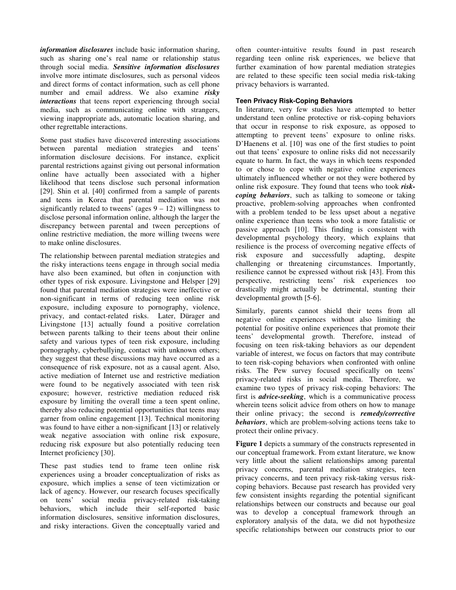*information disclosures* include basic information sharing, such as sharing one's real name or relationship status through social media. *Sensitive information disclosures* involve more intimate disclosures, such as personal videos and direct forms of contact information, such as cell phone number and email address. We also examine *risky interactions* that teens report experiencing through social media, such as communicating online with strangers, viewing inappropriate ads, automatic location sharing, and other regrettable interactions.

Some past studies have discovered interesting associations between parental mediation strategies and teens' information disclosure decisions. For instance, explicit parental restrictions against giving out personal information online have actually been associated with a higher likelihood that teens disclose such personal information [29]. Shin et al. [40] confirmed from a sample of parents and teens in Korea that parental mediation was not significantly related to tweens' (ages  $9 - 12$ ) willingness to disclose personal information online, although the larger the discrepancy between parental and tween perceptions of online restrictive mediation, the more willing tweens were to make online disclosures.

The relationship between parental mediation strategies and the risky interactions teens engage in through social media have also been examined, but often in conjunction with other types of risk exposure. Livingstone and Helsper [29] found that parental mediation strategies were ineffective or non-significant in terms of reducing teen online risk exposure, including exposure to pornography, violence, privacy, and contact-related risks. Later, Dürager and Livingstone [13] actually found a positive correlation between parents talking to their teens about their online safety and various types of teen risk exposure, including pornography, cyberbullying, contact with unknown others; they suggest that these discussions may have occurred as a consequence of risk exposure, not as a causal agent. Also, active mediation of Internet use and restrictive mediation were found to be negatively associated with teen risk exposure; however, restrictive mediation reduced risk exposure by limiting the overall time a teen spent online, thereby also reducing potential opportunities that teens may garner from online engagement [13]. Technical monitoring was found to have either a non-significant [13] or relatively weak negative association with online risk exposure, reducing risk exposure but also potentially reducing teen Internet proficiency [30].

These past studies tend to frame teen online risk experiences using a broader conceptualization of risks as exposure, which implies a sense of teen victimization or lack of agency. However, our research focuses specifically on teens' social media privacy-related risk-taking behaviors, which include their self-reported basic information disclosures, sensitive information disclosures, and risky interactions. Given the conceptually varied and often counter-intuitive results found in past research regarding teen online risk experiences, we believe that further examination of how parental mediation strategies are related to these specific teen social media risk-taking privacy behaviors is warranted.

## **Teen Privacy Risk-Coping Behaviors**

In literature, very few studies have attempted to better understand teen online protective or risk-coping behaviors that occur in response to risk exposure, as opposed to attempting to prevent teens' exposure to online risks. D'Haenens et al. [10] was one of the first studies to point out that teens' exposure to online risks did not necessarily equate to harm. In fact, the ways in which teens responded to or chose to cope with negative online experiences ultimately influenced whether or not they were bothered by online risk exposure. They found that teens who took *riskcoping behaviors*, such as talking to someone or taking proactive, problem-solving approaches when confronted with a problem tended to be less upset about a negative online experience than teens who took a more fatalistic or passive approach [10]. This finding is consistent with developmental psychology theory, which explains that resilience is the process of overcoming negative effects of risk exposure and successfully adapting, despite challenging or threatening circumstances. Importantly, resilience cannot be expressed without risk [43]. From this perspective, restricting teens' risk experiences too drastically might actually be detrimental, stunting their developmental growth [5-6].

Similarly, parents cannot shield their teens from all negative online experiences without also limiting the potential for positive online experiences that promote their teens' developmental growth. Therefore, instead of focusing on teen risk-taking behaviors as our dependent variable of interest, we focus on factors that may contribute to teen risk-coping behaviors when confronted with online risks. The Pew survey focused specifically on teens' privacy-related risks in social media. Therefore, we examine two types of privacy risk-coping behaviors: The first is *advice-seeking*, which is a communicative process wherein teens solicit advice from others on how to manage their online privacy; the second is *remedy/corrective behaviors*, which are problem-solving actions teens take to protect their online privacy.

**Figure 1** depicts a summary of the constructs represented in our conceptual framework. From extant literature, we know very little about the salient relationships among parental privacy concerns, parental mediation strategies, teen privacy concerns, and teen privacy risk-taking versus riskcoping behaviors. Because past research has provided very few consistent insights regarding the potential significant relationships between our constructs and because our goal was to develop a conceptual framework through an exploratory analysis of the data, we did not hypothesize specific relationships between our constructs prior to our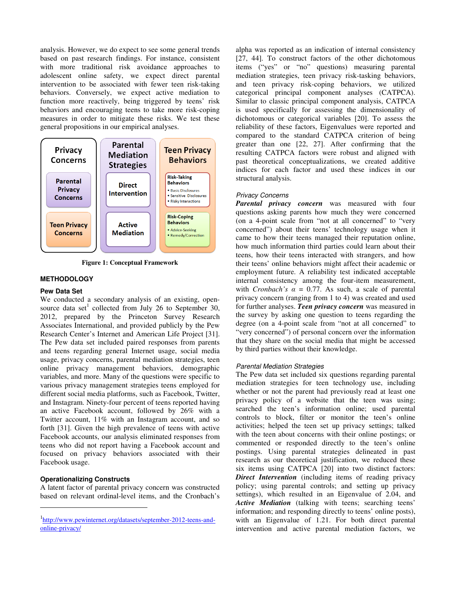analysis. However, we do expect to see some general trends based on past research findings. For instance, consistent with more traditional risk avoidance approaches to adolescent online safety, we expect direct parental intervention to be associated with fewer teen risk-taking behaviors. Conversely, we expect active mediation to function more reactively, being triggered by teens' risk behaviors and encouraging teens to take more risk-coping measures in order to mitigate these risks. We test these general propositions in our empirical analyses.



**Figure 1: Conceptual Framework** 

## **METHODOLOGY**

#### **Pew Data Set**

We conducted a secondary analysis of an existing, opensource data set<sup>1</sup> collected from July 26 to September 30, 2012, prepared by the Princeton Survey Research Associates International, and provided publicly by the Pew Research Center's Internet and American Life Project [31]. The Pew data set included paired responses from parents and teens regarding general Internet usage, social media usage, privacy concerns, parental mediation strategies, teen online privacy management behaviors, demographic variables, and more. Many of the questions were specific to various privacy management strategies teens employed for different social media platforms, such as Facebook, Twitter, and Instagram. Ninety-four percent of teens reported having an active Facebook account, followed by 26% with a Twitter account, 11% with an Instagram account, and so forth [31]. Given the high prevalence of teens with active Facebook accounts, our analysis eliminated responses from teens who did not report having a Facebook account and focused on privacy behaviors associated with their Facebook usage.

## **Operationalizing Constructs**

-

A latent factor of parental privacy concern was constructed based on relevant ordinal-level items, and the Cronbach's alpha was reported as an indication of internal consistency [27, 44]. To construct factors of the other dichotomous items ("yes" or "no" questions) measuring parental mediation strategies, teen privacy risk-tasking behaviors, and teen privacy risk-coping behaviors, we utilized categorical principal component analyses (CATPCA). Similar to classic principal component analysis, CATPCA is used specifically for assessing the dimensionality of dichotomous or categorical variables [20]. To assess the reliability of these factors, Eigenvalues were reported and compared to the standard CATPCA criterion of being greater than one [22, 27]. After confirming that the resulting CATPCA factors were robust and aligned with past theoretical conceptualizations, we created additive indices for each factor and used these indices in our structural analysis.

## Privacy Concerns

*Parental privacy concern* was measured with four questions asking parents how much they were concerned (on a 4-point scale from "not at all concerned" to "very concerned") about their teens' technology usage when it came to how their teens managed their reputation online, how much information third parties could learn about their teens, how their teens interacted with strangers, and how their teens' online behaviors might affect their academic or employment future. A reliability test indicated acceptable internal consistency among the four-item measurement, with *Cronbach's*  $\alpha = 0.77$ *.* As such, a scale of parental privacy concern (ranging from 1 to 4) was created and used for further analyses. *Teen privacy concern* was measured in the survey by asking one question to teens regarding the degree (on a 4-point scale from "not at all concerned" to "very concerned") of personal concern over the information that they share on the social media that might be accessed by third parties without their knowledge.

## Parental Mediation Strategies

The Pew data set included six questions regarding parental mediation strategies for teen technology use, including whether or not the parent had previously read at least one privacy policy of a website that the teen was using; searched the teen's information online; used parental controls to block, filter or monitor the teen's online activities; helped the teen set up privacy settings; talked with the teen about concerns with their online postings; or commented or responded directly to the teen's online postings. Using parental strategies delineated in past research as our theoretical justification, we reduced these six items using CATPCA [20] into two distinct factors: *Direct Intervention* (including items of reading privacy policy; using parental controls; and setting up privacy settings), which resulted in an Eigenvalue of 2.04, and *Active Mediation* (talking with teens; searching teens' information; and responding directly to teens' online posts), with an Eigenvalue of 1.21. For both direct parental intervention and active parental mediation factors, we

<sup>&</sup>lt;sup>1</sup>http://www.pewinternet.org/datasets/september-2012-teens-andonline-privacy/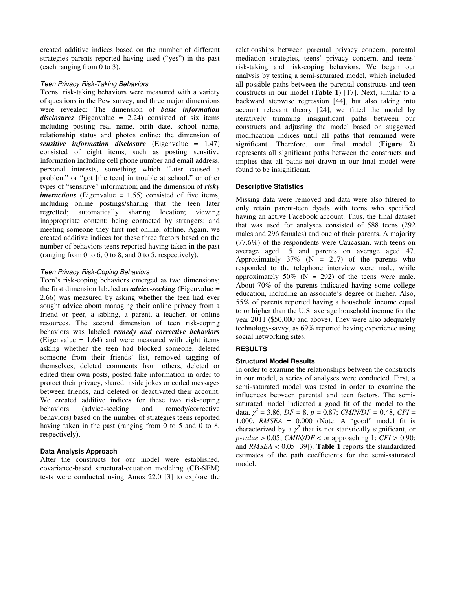created additive indices based on the number of different strategies parents reported having used ("yes") in the past (each ranging from 0 to 3).

## Teen Privacy Risk-Taking Behaviors

Teens' risk-taking behaviors were measured with a variety of questions in the Pew survey, and three major dimensions were revealed: The dimension of *basic information disclosures* (Eigenvalue = 2.24) consisted of six items including posting real name, birth date, school name, relationship status and photos online; the dimension of *sensitive information disclosure* (Eigenvalue = 1.47) consisted of eight items, such as posting sensitive information including cell phone number and email address, personal interests, something which "later caused a problem" or "got [the teen] in trouble at school," or other types of "sensitive" information; and the dimension of *risky interactions* (Eigenvalue = 1.55) consisted of five items, including online postings/sharing that the teen later regretted; automatically sharing location; viewing inappropriate content; being contacted by strangers; and meeting someone they first met online, offline. Again, we created additive indices for these three factors based on the number of behaviors teens reported having taken in the past (ranging from 0 to 6, 0 to 8, and 0 to 5, respectively).

## Teen Privacy Risk-Coping Behaviors

Teen's risk-coping behaviors emerged as two dimensions; the first dimension labeled as *advice-seeking* (Eigenvalue = 2.66) was measured by asking whether the teen had ever sought advice about managing their online privacy from a friend or peer, a sibling, a parent, a teacher, or online resources. The second dimension of teen risk-coping behaviors was labeled *remedy and corrective behaviors* (Eigenvalue  $= 1.64$ ) and were measured with eight items asking whether the teen had blocked someone, deleted someone from their friends' list, removed tagging of themselves, deleted comments from others, deleted or edited their own posts, posted fake information in order to protect their privacy, shared inside jokes or coded messages between friends, and deleted or deactivated their account. We created additive indices for these two risk-coping behaviors (advice-seeking and remedy/corrective behaviors) based on the number of strategies teens reported having taken in the past (ranging from 0 to 5 and 0 to 8, respectively).

## **Data Analysis Approach**

After the constructs for our model were established, covariance-based structural-equation modeling (CB-SEM) tests were conducted using Amos 22.0 [3] to explore the relationships between parental privacy concern, parental mediation strategies, teens' privacy concern, and teens' risk-taking and risk-coping behaviors. We began our analysis by testing a semi-saturated model, which included all possible paths between the parental constructs and teen constructs in our model (**Table 1**) [17]. Next, similar to a backward stepwise regression [44], but also taking into account relevant theory [24], we fitted the model by iteratively trimming insignificant paths between our constructs and adjusting the model based on suggested modification indices until all paths that remained were significant. Therefore, our final model (**Figure 2**) represents all significant paths between the constructs and implies that all paths not drawn in our final model were found to be insignificant.

## **Descriptive Statistics**

Missing data were removed and data were also filtered to only retain parent-teen dyads with teens who specified having an active Facebook account. Thus, the final dataset that was used for analyses consisted of 588 teens (292 males and 296 females) and one of their parents. A majority (77.6%) of the respondents were Caucasian, with teens on average aged 15 and parents on average aged 47. Approximately  $37\%$  (N = 217) of the parents who responded to the telephone interview were male, while approximately 50% ( $N = 292$ ) of the teens were male. About 70% of the parents indicated having some college education, including an associate's degree or higher. Also, 55% of parents reported having a household income equal to or higher than the U.S. average household income for the year 2011 (\$50,000 and above). They were also adequately technology-savvy, as 69% reported having experience using social networking sites.

## **RESULTS**

## **Structural Model Results**

In order to examine the relationships between the constructs in our model, a series of analyses were conducted. First, a semi-saturated model was tested in order to examine the influences between parental and teen factors. The semisaturated model indicated a good fit of the model to the data,  $\chi^2 = 3.86$ ,  $DF = 8$ ,  $p = 0.87$ ; *CMIN/DF* = 0.48, *CFI* = 1.000, *RMSEA* = 0.000 (Note: A "good" model fit is characterized by a  $\chi^2$  that is not statistically significant, or *p-value* > 0.05; *CMIN/DF* < or approaching 1; *CFI >* 0.90; and *RMSEA* < 0.05 [39]). **Table 1** reports the standardized estimates of the path coefficients for the semi-saturated model.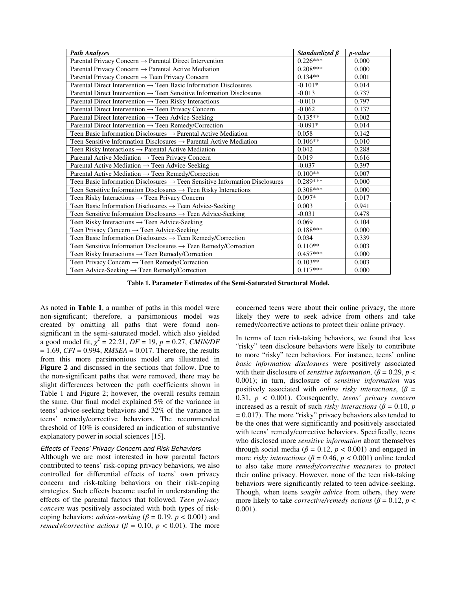| <b>Path Analyses</b>                                                                    | Standardized $\beta$ | p-value |
|-----------------------------------------------------------------------------------------|----------------------|---------|
| Parental Privacy Concern $\rightarrow$ Parental Direct Intervention                     | $0.226***$           | 0.000   |
| Parental Privacy Concern $\rightarrow$ Parental Active Mediation                        | $0.208***$           | 0.000   |
| Parental Privacy Concern $\rightarrow$ Teen Privacy Concern                             | $0.134**$            | 0.001   |
| Parental Direct Intervention $\rightarrow$ Teen Basic Information Disclosures           | $-0.101*$            | 0.014   |
| Parental Direct Intervention $\rightarrow$ Teen Sensitive Information Disclosures       | $-0.013$             | 0.737   |
| Parental Direct Intervention $\rightarrow$ Teen Risky Interactions                      | $-0.010$             | 0.797   |
| Parental Direct Intervention $\rightarrow$ Teen Privacy Concern                         | $-0.062$             | 0.137   |
| Parental Direct Intervention → Teen Advice-Seeking                                      | $0.135**$            | 0.002   |
| Parental Direct Intervention $\rightarrow$ Teen Remedy/Correction                       | $-0.091*$            | 0.014   |
| Teen Basic Information Disclosures $\rightarrow$ Parental Active Mediation              | 0.058                | 0.142   |
| Teen Sensitive Information Disclosures $\rightarrow$ Parental Active Mediation          | $0.106**$            | 0.010   |
| Teen Risky Interactions $\rightarrow$ Parental Active Mediation                         | 0.042                | 0.288   |
| Parental Active Mediation $\rightarrow$ Teen Privacy Concern                            | 0.019                | 0.616   |
| Parental Active Mediation $\rightarrow$ Teen Advice-Seeking                             | $-0.037$             | 0.397   |
| Parental Active Mediation $\rightarrow$ Teen Remedy/Correction                          | $0.100**$            | 0.007   |
| Teen Basic Information Disclosures $\rightarrow$ Teen Sensitive Information Disclosures | $0.289***$           | 0.000   |
| Teen Sensitive Information Disclosures $\rightarrow$ Teen Risky Interactions            | $0.308***$           | 0.000   |
| Teen Risky Interactions $\rightarrow$ Teen Privacy Concern                              | $0.097*$             | 0.017   |
| Teen Basic Information Disclosures $\rightarrow$ Teen Advice-Seeking                    | 0.003                | 0.941   |
| Teen Sensitive Information Disclosures → Teen Advice-Seeking                            | $-0.031$             | 0.478   |
| Teen Risky Interactions $\rightarrow$ Teen Advice-Seeking                               | 0.069                | 0.104   |
| Teen Privacy Concern → Teen Advice-Seeking                                              | $0.188***$           | 0.000   |
| Teen Basic Information Disclosures → Teen Remedy/Correction                             | 0.034                | 0.339   |
| Teen Sensitive Information Disclosures $\rightarrow$ Teen Remedy/Correction             | $0.110**$            | 0.003   |
| Teen Risky Interactions $\rightarrow$ Teen Remedy/Correction                            | $0.457***$           | 0.000   |
| Teen Privacy Concern → Teen Remedy/Correction                                           | $0.103**$            | 0.003   |
| Teen Advice-Seeking $\rightarrow$ Teen Remedy/Correction                                | $0.117***$           | 0.000   |

**Table 1. Parameter Estimates of the Semi-Saturated Structural Model.** 

As noted in **Table 1**, a number of paths in this model were non-significant; therefore, a parsimonious model was created by omitting all paths that were found nonsignificant in the semi-saturated model, which also yielded a good model fit,  $\chi^2 = 22.21$ ,  $DF = 19$ ,  $p = 0.27$ , *CMIN/DF*  $= 1.69$ , *CFI* = 0.994, *RMSEA* = 0.017. Therefore, the results from this more parsimonious model are illustrated in **Figure 2** and discussed in the sections that follow. Due to the non-significant paths that were removed, there may be slight differences between the path coefficients shown in Table 1 and Figure 2; however, the overall results remain the same. Our final model explained 5% of the variance in teens' advice-seeking behaviors and 32% of the variance in teens' remedy/corrective behaviors. The recommended threshold of 10% is considered an indication of substantive explanatory power in social sciences [15].

#### Effects of Teens' Privacy Concern and Risk Behaviors

Although we are most interested in how parental factors contributed to teens' risk-coping privacy behaviors, we also controlled for differential effects of teens' own privacy concern and risk-taking behaviors on their risk-coping strategies. Such effects became useful in understanding the effects of the parental factors that followed. *Teen privacy concern* was positively associated with both types of riskcoping behaviors: *advice-seeking* ( $\beta$  = 0.19,  $p$  < 0.001) and *remedy/corrective actions* ( $\beta = 0.10$ ,  $p < 0.01$ ). The more concerned teens were about their online privacy, the more likely they were to seek advice from others and take remedy/corrective actions to protect their online privacy.

In terms of teen risk-taking behaviors, we found that less "risky" teen disclosure behaviors were likely to contribute to more "risky" teen behaviors. For instance, teens' online *basic information disclosures* were positively associated with their disclosure of *sensitive information*,  $(\beta = 0.29, p <$ 0.001); in turn, disclosure of *sensitive information* was positively associated with *online risky interactions*,  $(\beta =$ 0.31, *p* < 0.001). Consequently, *teens' privacy concern* increased as a result of such *risky interactions* ( $\beta$  = 0.10, *p*  $= 0.017$ ). The more "risky" privacy behaviors also tended to be the ones that were significantly and positively associated with teens' remedy/corrective behaviors. Specifically, teens who disclosed more *sensitive information* about themselves through social media ( $\beta = 0.12$ ,  $p < 0.001$ ) and engaged in more *risky interactions* ( $\beta$  = 0.46,  $p$  < 0.001) online tended to also take more *remedy/corrective measures* to protect their online privacy. However, none of the teen risk-taking behaviors were significantly related to teen advice-seeking. Though, when teens *sought advice* from others, they were more likely to take *corrective/remedy actions* ( $\beta$  = 0.12, *p* < 0.001).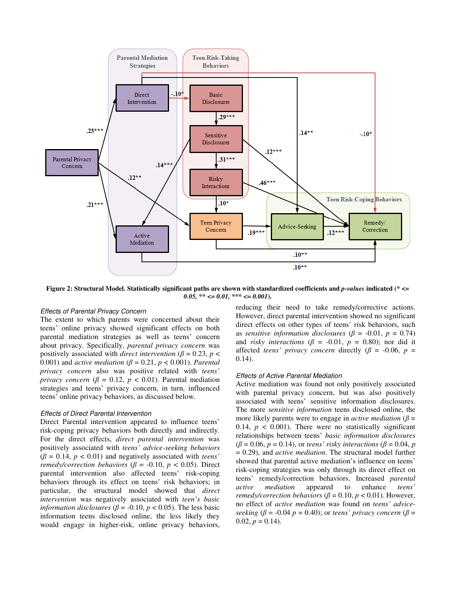

**Figure 2: Structural Model. Statistically significant paths are shown with standardized coefficients and** *p-values* **indicated (***\* <= 0.05, \*\* <= 0.01, \*\*\* <= 0.001***).** 

#### Effects of Parental Privacy Concern

The extent to which parents were concerned about their teens' online privacy showed significant effects on both parental mediation strategies as well as teens' concern about privacy. Specifically, *parental privacy concern* was positively associated with *direct intervention*  $(\beta = 0.23, p <$ 0.001) and *active mediation*  $(\beta = 0.21, p < 0.001)$ . *Parental privacy concern* also was positive related with *teens' privacy concern* ( $\beta = 0.12$ ,  $p < 0.01$ ). Parental mediation strategies and teens' privacy concern, in turn, influenced teens' online privacy behaviors, as discussed below.

#### Effects of Direct Parental Intervention

Direct Parental intervention appeared to influence teens' risk-coping privacy behaviors both directly and indirectly. For the direct effects, *direct parental intervention* was positively associated with *teens' advice-seeking behaviors*  $(\beta = 0.14, p < 0.01)$  and negatively associated with *teens' remedy/correction behaviors* ( $\beta$  = -0.10,  $p$  < 0.05). Direct parental intervention also affected teens' risk-coping behaviors through its effect on teens' risk behaviors; in particular, the structural model showed that *direct intervention* was negatively associated with *teen's basic information disclosures* ( $\beta$  = -0.10,  $p$  < 0.05). The less basic information teens disclosed online, the less likely they would engage in higher-risk, online privacy behaviors,

reducing their need to take remedy/corrective actions. However, direct parental intervention showed no significant direct effects on other types of teens' risk behaviors, such as *sensitive information disclosures* ( $\beta$  = -0.01,  $p$  = 0.74) and *risky interactions*  $(\beta = -0.01, p = 0.80)$ ; nor did it affected *teens' privacy concern* directly ( $\beta$  = -0.06,  $p$  = 0.14).

#### Effects of Active Parental Mediation

Active mediation was found not only positively associated with parental privacy concern, but was also positively associated with teens' sensitive information disclosures. The more *sensitive information* teens disclosed online, the more likely parents were to engage in *active mediation*  $(\beta =$ 0.14,  $p < 0.001$ ). There were no statistically significant relationships between teens' *basic information disclosures*   $(\beta = 0.06, p = 0.14)$ , or *teens' risky interactions*  $(\beta = 0.04, p)$ = 0.29), and *active mediation*. The structural model further showed that parental active mediation's influence on teens' risk-coping strategies was only through its direct effect on teens' remedy/correction behaviors. Increased *parental active mediation* appeared to enhance *teens' remedy/correction behaviors* ( $\beta$  = 0.10,  $p$  < 0.01). However, no effect of *active mediation* was found on *teens' adviceseeking* ( $\beta$  = -0.04 *p* = 0.40); or *teens' privacy concern* ( $\beta$  = 0.02,  $p = 0.14$ ).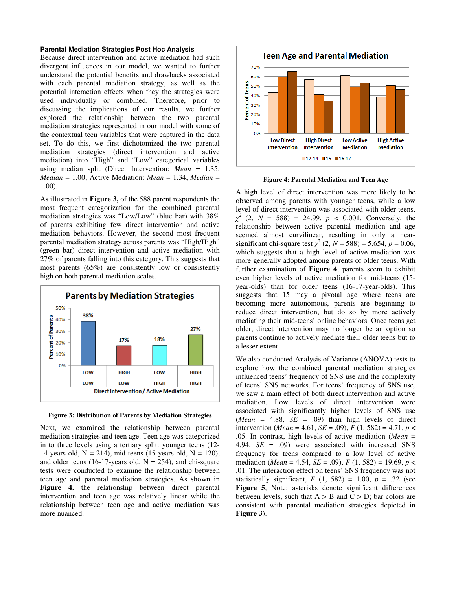#### **Parental Mediation Strategies Post Hoc Analysis**

Because direct intervention and active mediation had such divergent influences in our model, we wanted to further understand the potential benefits and drawbacks associated with each parental mediation strategy, as well as the potential interaction effects when they the strategies were used individually or combined. Therefore, prior to discussing the implications of our results, we further explored the relationship between the two parental mediation strategies represented in our model with some of the contextual teen variables that were captured in the data set. To do this, we first dichotomized the two parental mediation strategies (direct intervention and active mediation) into "High" and "Low" categorical variables using median split (Direct Intervention: *Mean* = 1.35, *Median* = 1.00; Active Mediation: *Mean* = 1.34, *Median* = 1.00).

As illustrated in **Figure 3,** of the 588 parent respondents the most frequent categorization for the combined parental mediation strategies was "Low/Low" (blue bar) with 38% of parents exhibiting few direct intervention and active mediation behaviors. However, the second most frequent parental mediation strategy across parents was "High/High" (green bar) direct intervention and active mediation with 27% of parents falling into this category. This suggests that most parents (65%) are consistently low or consistently high on both parental mediation scales.



**Figure 3: Distribution of Parents by Mediation Strategies** 

Next, we examined the relationship between parental mediation strategies and teen age. Teen age was categorized in to three levels using a tertiary split: younger teens (12- 14-years-old,  $N = 214$ ), mid-teens (15-years-old,  $N = 120$ ), and older teens (16-17-years old,  $N = 254$ ), and chi-square tests were conducted to examine the relationship between teen age and parental mediation strategies. As shown in **Figure 4**, the relationship between direct parental intervention and teen age was relatively linear while the relationship between teen age and active mediation was more nuanced.



**Figure 4: Parental Mediation and Teen Age** 

A high level of direct intervention was more likely to be observed among parents with younger teens, while a low level of direct intervention was associated with older teens,  $\chi^2$  (2, *N* = 588) = 24.99, *p* < 0.001. Conversely, the relationship between active parental mediation and age seemed almost curvilinear, resulting in only a nearsignificant chi-square test  $\chi^2$  (2, *N* = 588) = 5.654, *p* = 0.06, which suggests that a high level of active mediation was more generally adopted among parents of older teens. With further examination of **Figure 4**, parents seem to exhibit even higher levels of active mediation for mid-teens (15 year-olds) than for older teens (16-17-year-olds). This suggests that 15 may a pivotal age where teens are becoming more autonomous, parents are beginning to reduce direct intervention, but do so by more actively mediating their mid-teens' online behaviors. Once teens get older, direct intervention may no longer be an option so parents continue to actively mediate their older teens but to a lesser extent.

We also conducted Analysis of Variance (ANOVA) tests to explore how the combined parental mediation strategies influenced teens' frequency of SNS use and the complexity of teens' SNS networks. For teens' frequency of SNS use*,* we saw a main effect of both direct intervention and active mediation. Low levels of direct intervention were associated with significantly higher levels of SNS use  $(Mean = 4.88, SE = .09)$  than high levels of direct intervention (*Mean* = 4.61, *SE* = .09), *F* (1, 582) = 4.71, *p* < .05. In contrast, high levels of active mediation (*Mean* = 4.94, *SE* = .09) were associated with increased SNS frequency for teens compared to a low level of active mediation (*Mean* = 4.54, *SE* = .09), *F* (1, 582) = 19.69, *p* < .01. The interaction effect on teens' SNS frequency was not statistically significant,  $F(1, 582) = 1.00$ ,  $p = .32$  (see **Figure 5**, Note: asterisks denote significant differences between levels, such that  $A > B$  and  $C > D$ ; bar colors are consistent with parental mediation strategies depicted in **Figure 3**).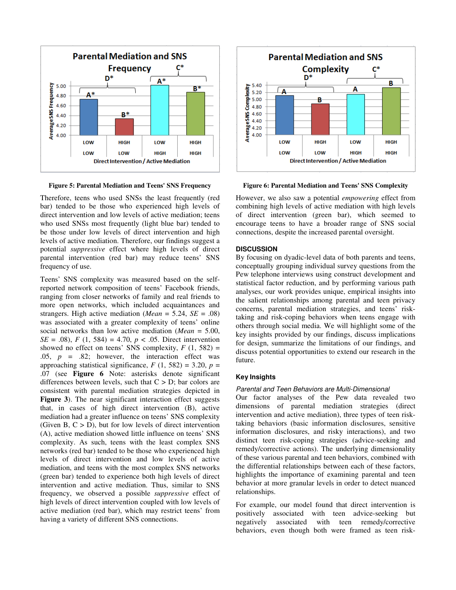

**Figure 5: Parental Mediation and Teens' SNS Frequency** 

Therefore, teens who used SNSs the least frequently (red bar) tended to be those who experienced high levels of direct intervention and low levels of active mediation; teens who used SNSs most frequently (light blue bar) tended to be those under low levels of direct intervention and high levels of active mediation. Therefore, our findings suggest a potential *suppressive* effect where high levels of direct parental intervention (red bar) may reduce teens' SNS frequency of use.

Teens' SNS complexity was measured based on the selfreported network composition of teens' Facebook friends, ranging from closer networks of family and real friends to more open networks, which included acquaintances and strangers. High active mediation (*Mean* = 5.24, *SE* = .08) was associated with a greater complexity of teens' online social networks than low active mediation (*Mean* = 5.00, *SE* = .08), *F* (1, 584) = 4.70, *p* < .05. Direct intervention showed no effect on teens' SNS complexity,  $F(1, 582) =$ .05,  $p = .82$ ; however, the interaction effect was approaching statistical significance,  $F(1, 582) = 3.20$ ,  $p =$ .07 (see **Figure 6** Note: asterisks denote significant differences between levels, such that  $C > D$ ; bar colors are consistent with parental mediation strategies depicted in **Figure 3**). The near significant interaction effect suggests that, in cases of high direct intervention (B), active mediation had a greater influence on teens' SNS complexity (Given B,  $C > D$ ), but for low levels of direct intervention (A), active mediation showed little influence on teens' SNS complexity. As such, teens with the least complex SNS networks (red bar) tended to be those who experienced high levels of direct intervention and low levels of active mediation, and teens with the most complex SNS networks (green bar) tended to experience both high levels of direct intervention and active mediation. Thus, similar to SNS frequency, we observed a possible *suppressive* effect of high levels of direct intervention coupled with low levels of active mediation (red bar), which may restrict teens' from having a variety of different SNS connections.



**Figure 6: Parental Mediation and Teens' SNS Complexity** 

However, we also saw a potential *empowering* effect from combining high levels of active mediation with high levels of direct intervention (green bar), which seemed to encourage teens to have a broader range of SNS social connections, despite the increased parental oversight.

## **DISCUSSION**

By focusing on dyadic-level data of both parents and teens, conceptually grouping individual survey questions from the Pew telephone interviews using construct development and statistical factor reduction, and by performing various path analyses, our work provides unique, empirical insights into the salient relationships among parental and teen privacy concerns, parental mediation strategies, and teens' risktaking and risk-coping behaviors when teens engage with others through social media. We will highlight some of the key insights provided by our findings, discuss implications for design, summarize the limitations of our findings, and discuss potential opportunities to extend our research in the future.

## **Key Insights**

## Parental and Teen Behaviors are Multi-Dimensional

Our factor analyses of the Pew data revealed two dimensions of parental mediation strategies (direct intervention and active mediation), three types of teen risktaking behaviors (basic information disclosures, sensitive information disclosures, and risky interactions), and two distinct teen risk-coping strategies (advice-seeking and remedy/corrective actions). The underlying dimensionality of these various parental and teen behaviors, combined with the differential relationships between each of these factors, highlights the importance of examining parental and teen behavior at more granular levels in order to detect nuanced relationships.

For example, our model found that direct intervention is positively associated with teen advice-seeking but negatively associated with teen remedy/corrective behaviors, even though both were framed as teen risk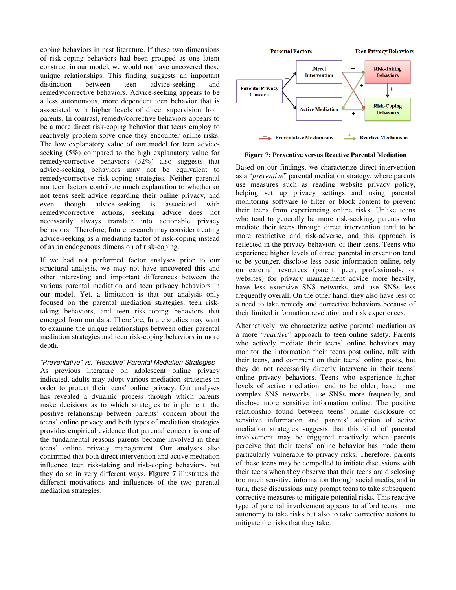coping behaviors in past literature. If these two dimensions of risk-coping behaviors had been grouped as one latent construct in our model, we would not have uncovered these unique relationships. This finding suggests an important distinction between teen advice-seeking and remedy/corrective behaviors. Advice-seeking appears to be a less autonomous, more dependent teen behavior that is associated with higher levels of direct supervision from parents. In contrast, remedy/corrective behaviors appears to be a more direct risk-coping behavior that teens employ to reactively problem-solve once they encounter online risks. The low explanatory value of our model for teen adviceseeking (5%) compared to the high explanatory value for remedy/corrective behaviors (32%) also suggests that advice-seeking behaviors may not be equivalent to remedy/corrective risk-coping strategies. Neither parental nor teen factors contribute much explanation to whether or not teens seek advice regarding their online privacy, and even though advice-seeking is associated with remedy/corrective actions, seeking advice does not necessarily always translate into actionable privacy behaviors. Therefore, future research may consider treating advice-seeking as a mediating factor of risk-coping instead of as an endogenous dimension of risk-coping.

If we had not performed factor analyses prior to our structural analysis, we may not have uncovered this and other interesting and important differences between the various parental mediation and teen privacy behaviors in our model. Yet, a limitation is that our analysis only focused on the parental mediation strategies, teen risktaking behaviors, and teen risk-coping behaviors that emerged from our data. Therefore, future studies may want to examine the unique relationships between other parental mediation strategies and teen risk-coping behaviors in more depth.

#### "Preventative" vs. "Reactive" Parental Mediation Strategies

As previous literature on adolescent online privacy indicated, adults may adopt various mediation strategies in order to protect their teens' online privacy. Our analyses has revealed a dynamic process through which parents make decisions as to which strategies to implement; the positive relationship between parents' concern about the teens' online privacy and both types of mediation strategies provides empirical evidence that parental concern is one of the fundamental reasons parents become involved in their teens' online privacy management. Our analyses also confirmed that both direct intervention and active mediation influence teen risk-taking and risk-coping behaviors, but they do so in very different ways. **Figure 7** illustrates the different motivations and influences of the two parental mediation strategies.



**Figure 7: Preventive versus Reactive Parental Mediation** 

Based on our findings, we characterize direct intervention as a "*preventive*" parental mediation strategy, where parents use measures such as reading website privacy policy, helping set up privacy settings and using parental monitoring software to filter or block content to prevent their teens from experiencing online risks. Unlike teens who tend to generally be more risk-seeking, parents who mediate their teens through direct intervention tend to be more restrictive and risk-adverse, and this approach is reflected in the privacy behaviors of their teens. Teens who experience higher levels of direct parental intervention tend to be younger, disclose less basic information online, rely on external resources (parent, peer, professionals, or websites) for privacy management advice more heavily, have less extensive SNS networks, and use SNSs less frequently overall. On the other hand, they also have less of a need to take remedy and corrective behaviors because of their limited information revelation and risk experiences.

Alternatively, we characterize active parental mediation as a more "*reactive*" approach to teen online safety. Parents who actively mediate their teens' online behaviors may monitor the information their teens post online, talk with their teens, and comment on their teens' online posts, but they do not necessarily directly intervene in their teens' online privacy behaviors. Teens who experience higher levels of active mediation tend to be older, have more complex SNS networks, use SNSs more frequently, and disclose more sensitive information online. The positive relationship found between teens' online disclosure of sensitive information and parents' adoption of active mediation strategies suggests that this kind of parental involvement may be triggered reactively when parents perceive that their teens' online behavior has made them particularly vulnerable to privacy risks. Therefore, parents of these teens may be compelled to initiate discussions with their teens when they observe that their teens are disclosing too much sensitive information through social media, and in turn, these discussions may prompt teens to take subsequent corrective measures to mitigate potential risks. This reactive type of parental involvement appears to afford teens more autonomy to take risks but also to take corrective actions to mitigate the risks that they take.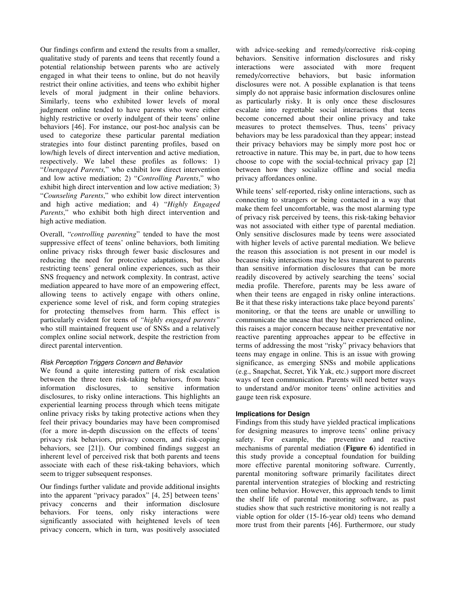Our findings confirm and extend the results from a smaller, qualitative study of parents and teens that recently found a potential relationship between parents who are actively engaged in what their teens to online, but do not heavily restrict their online activities, and teens who exhibit higher levels of moral judgment in their online behaviors. Similarly, teens who exhibited lower levels of moral judgment online tended to have parents who were either highly restrictive or overly indulgent of their teens' online behaviors [46]. For instance, our post-hoc analysis can be used to categorize these particular parental mediation strategies into four distinct parenting profiles, based on low/high levels of direct intervention and active mediation, respectively. We label these profiles as follows: 1) "*Unengaged Parents,*" who exhibit low direct intervention and low active mediation; 2) "*Controlling Parents*," who exhibit high direct intervention and low active mediation; 3) "*Counseling Parents*," who exhibit low direct intervention and high active mediation; and 4) "*Highly Engaged Parents*," who exhibit both high direct intervention and high active mediation.

Overall, "*controlling parenting*" tended to have the most suppressive effect of teens' online behaviors, both limiting online privacy risks through fewer basic disclosures and reducing the need for protective adaptations, but also restricting teens' general online experiences, such as their SNS frequency and network complexity. In contrast, active mediation appeared to have more of an empowering effect, allowing teens to actively engage with others online, experience some level of risk, and form coping strategies for protecting themselves from harm. This effect is particularly evident for teens of *"highly engaged parents"*  who still maintained frequent use of SNSs and a relatively complex online social network, despite the restriction from direct parental intervention.

## Risk Perception Triggers Concern and Behavior

We found a quite interesting pattern of risk escalation between the three teen risk-taking behaviors, from basic information disclosures, to sensitive information disclosures, to risky online interactions. This highlights an experiential learning process through which teens mitigate online privacy risks by taking protective actions when they feel their privacy boundaries may have been compromised (for a more in-depth discussion on the effects of teens' privacy risk behaviors, privacy concern, and risk-coping behaviors, see [21]). Our combined findings suggest an inherent level of perceived risk that both parents and teens associate with each of these risk-taking behaviors, which seem to trigger subsequent responses.

Our findings further validate and provide additional insights into the apparent "privacy paradox" [4, 25] between teens' privacy concerns and their information disclosure behaviors. For teens, only risky interactions were significantly associated with heightened levels of teen privacy concern, which in turn, was positively associated

with advice-seeking and remedy/corrective risk-coping behaviors. Sensitive information disclosures and risky interactions were associated with more frequent remedy/corrective behaviors, but basic information disclosures were not. A possible explanation is that teens simply do not appraise basic information disclosures online as particularly risky. It is only once these disclosures escalate into regrettable social interactions that teens become concerned about their online privacy and take measures to protect themselves. Thus, teens' privacy behaviors may be less paradoxical than they appear; instead their privacy behaviors may be simply more post hoc or retroactive in nature. This may be, in part, due to how teens choose to cope with the social-technical privacy gap [2] between how they socialize offline and social media privacy affordances online.

While teens' self-reported, risky online interactions, such as connecting to strangers or being contacted in a way that make them feel uncomfortable, was the most alarming type of privacy risk perceived by teens, this risk-taking behavior was not associated with either type of parental mediation. Only sensitive disclosures made by teens were associated with higher levels of active parental mediation. We believe the reason this association is not present in our model is because risky interactions may be less transparent to parents than sensitive information disclosures that can be more readily discovered by actively searching the teens' social media profile. Therefore, parents may be less aware of when their teens are engaged in risky online interactions. Be it that these risky interactions take place beyond parents' monitoring, or that the teens are unable or unwilling to communicate the unease that they have experienced online, this raises a major concern because neither preventative nor reactive parenting approaches appear to be effective in terms of addressing the most "risky" privacy behaviors that teens may engage in online. This is an issue with growing significance, as emerging SNSs and mobile applications (e.g., Snapchat, Secret, Yik Yak, etc.) support more discreet ways of teen communication. Parents will need better ways to understand and/or monitor teens' online activities and gauge teen risk exposure.

## **Implications for Design**

Findings from this study have yielded practical implications for designing measures to improve teens' online privacy safety. For example, the preventive and reactive mechanisms of parental mediation (**Figure 6**) identified in this study provide a conceptual foundation for building more effective parental monitoring software. Currently, parental monitoring software primarily facilitates direct parental intervention strategies of blocking and restricting teen online behavior. However, this approach tends to limit the shelf life of parental monitoring software, as past studies show that such restrictive monitoring is not really a viable option for older (15-16-year old) teens who demand more trust from their parents [46]. Furthermore, our study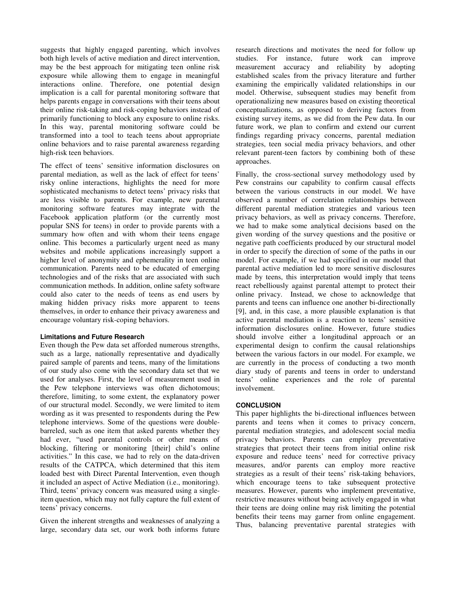suggests that highly engaged parenting, which involves both high levels of active mediation and direct intervention, may be the best approach for mitigating teen online risk exposure while allowing them to engage in meaningful interactions online. Therefore, one potential design implication is a call for parental monitoring software that helps parents engage in conversations with their teens about their online risk-taking and risk-coping behaviors instead of primarily functioning to block any exposure to online risks. In this way, parental monitoring software could be transformed into a tool to teach teens about appropriate online behaviors and to raise parental awareness regarding high-risk teen behaviors.

The effect of teens' sensitive information disclosures on parental mediation, as well as the lack of effect for teens' risky online interactions, highlights the need for more sophisticated mechanisms to detect teens' privacy risks that are less visible to parents. For example, new parental monitoring software features may integrate with the Facebook application platform (or the currently most popular SNS for teens) in order to provide parents with a summary how often and with whom their teens engage online. This becomes a particularly urgent need as many websites and mobile applications increasingly support a higher level of anonymity and ephemerality in teen online communication. Parents need to be educated of emerging technologies and of the risks that are associated with such communication methods. In addition, online safety software could also cater to the needs of teens as end users by making hidden privacy risks more apparent to teens themselves, in order to enhance their privacy awareness and encourage voluntary risk-coping behaviors.

## **Limitations and Future Research**

Even though the Pew data set afforded numerous strengths, such as a large, nationally representative and dyadically paired sample of parents and teens, many of the limitations of our study also come with the secondary data set that we used for analyses. First, the level of measurement used in the Pew telephone interviews was often dichotomous; therefore, limiting, to some extent, the explanatory power of our structural model. Secondly, we were limited to item wording as it was presented to respondents during the Pew telephone interviews. Some of the questions were doublebarreled, such as one item that asked parents whether they had ever, "used parental controls or other means of blocking, filtering or monitoring [their] child's online activities." In this case, we had to rely on the data-driven results of the CATPCA, which determined that this item loaded best with Direct Parental Intervention, even though it included an aspect of Active Mediation (i.e., monitoring). Third, teens' privacy concern was measured using a singleitem question, which may not fully capture the full extent of teens' privacy concerns.

Given the inherent strengths and weaknesses of analyzing a large, secondary data set, our work both informs future

research directions and motivates the need for follow up studies. For instance, future work can improve measurement accuracy and reliability by adopting established scales from the privacy literature and further examining the empirically validated relationships in our model. Otherwise, subsequent studies may benefit from operationalizing new measures based on existing theoretical conceptualizations, as opposed to deriving factors from existing survey items, as we did from the Pew data. In our future work, we plan to confirm and extend our current findings regarding privacy concerns, parental mediation strategies, teen social media privacy behaviors, and other relevant parent-teen factors by combining both of these approaches.

Finally, the cross-sectional survey methodology used by Pew constrains our capability to confirm causal effects between the various constructs in our model. We have observed a number of correlation relationships between different parental mediation strategies and various teen privacy behaviors, as well as privacy concerns. Therefore, we had to make some analytical decisions based on the given wording of the survey questions and the positive or negative path coefficients produced by our structural model in order to specify the direction of some of the paths in our model. For example, if we had specified in our model that parental active mediation led to more sensitive disclosures made by teens, this interpretation would imply that teens react rebelliously against parental attempt to protect their online privacy. Instead, we chose to acknowledge that parents and teens can influence one another bi-directionally [9], and, in this case, a more plausible explanation is that active parental mediation is a reaction to teens' sensitive information disclosures online. However, future studies should involve either a longitudinal approach or an experimental design to confirm the causal relationships between the various factors in our model. For example, we are currently in the process of conducting a two month diary study of parents and teens in order to understand teens' online experiences and the role of parental involvement.

## **CONCLUSION**

This paper highlights the bi-directional influences between parents and teens when it comes to privacy concern, parental mediation strategies, and adolescent social media privacy behaviors. Parents can employ preventative strategies that protect their teens from initial online risk exposure and reduce teens' need for corrective privacy measures, and/or parents can employ more reactive strategies as a result of their teens' risk-taking behaviors, which encourage teens to take subsequent protective measures. However, parents who implement preventative, restrictive measures without being actively engaged in what their teens are doing online may risk limiting the potential benefits their teens may garner from online engagement. Thus, balancing preventative parental strategies with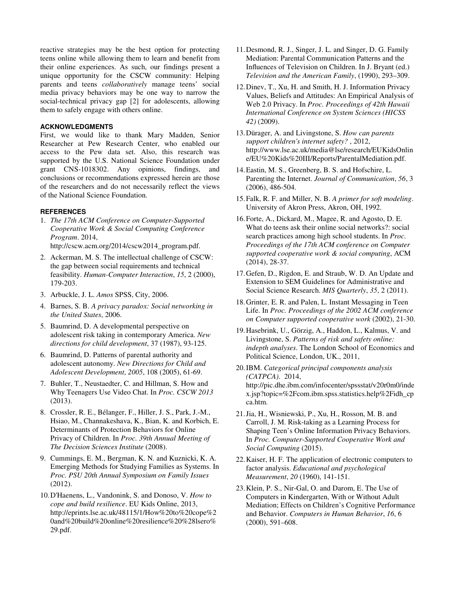reactive strategies may be the best option for protecting teens online while allowing them to learn and benefit from their online experiences. As such, our findings present a unique opportunity for the CSCW community: Helping parents and teens *collaboratively* manage teens' social media privacy behaviors may be one way to narrow the social-technical privacy gap [2] for adolescents, allowing them to safely engage with others online.

## **ACKNOWLEDGMENTS**

First, we would like to thank Mary Madden, Senior Researcher at Pew Research Center, who enabled our access to the Pew data set. Also, this research was supported by the U.S. National Science Foundation under grant CNS-1018302. Any opinions, findings, and conclusions or recommendations expressed herein are those of the researchers and do not necessarily reflect the views of the National Science Foundation.

#### **REFERENCES**

1. *The 17th ACM Conference on Computer-Supported Cooperative Work & Social Computing Conference Program*. 2014,

http://cscw.acm.org/2014/cscw2014\_program.pdf.

- 2. Ackerman, M. S. The intellectual challenge of CSCW: the gap between social requirements and technical feasibility. *Human-Computer Interaction*, *15*, 2 (2000), 179-203.
- 3. Arbuckle, J. L. *Amos* SPSS, City, 2006.
- 4. Barnes, S. B. *A privacy paradox: Social networking in the United States*, 2006.
- 5. Baumrind, D. A developmental perspective on adolescent risk taking in contemporary America. *New directions for child development*, 37 (1987), 93-125.
- 6. Baumrind, D. Patterns of parental authority and adolescent autonomy. *New Directions for Child and Adolescent Development*, *2005*, 108 (2005), 61-69.
- 7. Buhler, T., Neustaedter, C. and Hillman, S. How and Why Teenagers Use Video Chat. In *Proc. CSCW 2013* (2013).
- 8. Crossler, R. E., Bélanger, F., Hiller, J. S., Park, J.-M., Hsiao, M., Channakeshava, K., Bian, K. and Korbich, E. Determinants of Protection Behaviors for Online Privacy of Children. In *Proc. 39th Annual Meeting of The Decision Sciences Institute* (2008).
- 9. Cummings, E. M., Bergman, K. N. and Kuznicki, K. A. Emerging Methods for Studying Families as Systems. In *Proc. PSU 20th Annual Symposium on Family Issues* (2012).
- 10.D'Haenens, L., Vandonink, S. and Donoso, V. *How to cope and build resilience*. EU Kids Online, 2013, http://eprints.lse.ac.uk/48115/1/How%20to%20cope%2 0and%20build%20online%20resilience%20%28lsero% 29.pdf.
- 11.Desmond, R. J., Singer, J. L. and Singer, D. G. Family Mediation: Parental Communication Patterns and the Influences of Television on Children. In J. Bryant (ed.) *Television and the American Family*, (1990), 293–309.
- 12.Dinev, T., Xu, H. and Smith, H. J. Information Privacy Values, Beliefs and Attitudes: An Empirical Analysis of Web 2.0 Privacy. In *Proc. Proceedings of 42th Hawaii International Conference on System Sciences (HICSS 42)* (2009).
- 13.Dürager, A. and Livingstone, S. *How can parents support children's internet safety?* , 2012, http://www.lse.ac.uk/media@lse/research/EUKidsOnlin e/EU%20Kids%20III/Reports/ParentalMediation.pdf.
- 14.Eastin, M. S., Greenberg, B. S. and Hofschire, L. Parenting the Internet. *Journal of Communication*, *56*, 3 (2006), 486-504.
- 15.Falk, R. F. and Miller, N. B. *A primer for soft modeling*. University of Akron Press, Akron, OH, 1992.
- 16.Forte, A., Dickard, M., Magee, R. and Agosto, D. E. What do teens ask their online social networks?: social search practices among high school students. In *Proc. Proceedings of the 17th ACM conference on Computer supported cooperative work & social computing*, ACM (2014), 28-37.
- 17.Gefen, D., Rigdon, E. and Straub, W. D. An Update and Extension to SEM Guidelines for Administrative and Social Science Research. *MIS Quarterly*, *35*, 2 (2011).
- 18.Grinter, E. R. and Palen, L. Instant Messaging in Teen Life. In *Proc. Proceedings of the 2002 ACM conference on Computer supported cooperative work* (2002), 21-30.
- 19.Hasebrink, U., Görzig, A., Haddon, L., Kalmus, V. and Livingstone, S. *Patterns of risk and safety online: indepth analyses*. The London School of Economics and Political Science, London, UK., 2011,
- 20.IBM. *Categorical principal components analysis (CATPCA)*. 2014, http://pic.dhe.ibm.com/infocenter/spssstat/v20r0m0/inde x.jsp?topic=%2Fcom.ibm.spss.statistics.help%2Fidh\_cp ca.htm.
- 21.Jia, H., Wisniewski, P., Xu, H., Rosson, M. B. and Carroll, J. M. Risk-taking as a Learning Process for Shaping Teen's Online Information Privacy Behaviors. In *Proc. Computer-Supported Cooperative Work and Social Computing* (2015).
- 22.Kaiser, H. F. The application of electronic computers to factor analysis. *Educational and psychological Measurement*, *20* (1960), 141-151.
- 23.Klein, P. S., Nir-Gal, O. and Darom, E. The Use of Computers in Kindergarten, With or Without Adult Mediation; Effects on Children's Cognitive Performance and Behavior. *Computers in Human Behavior*, *16*, 6 (2000), 591–608.